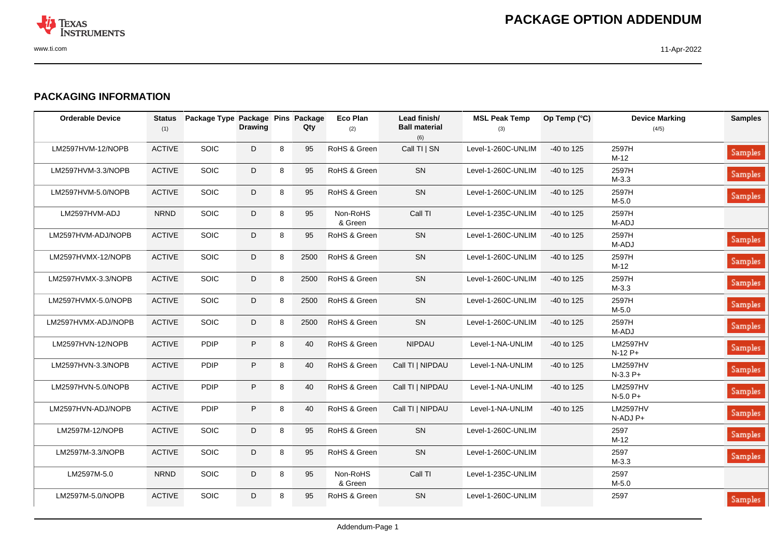

## **PACKAGING INFORMATION**

| <b>Orderable Device</b> | <b>Status</b><br>(1) | Package Type Package Pins Package | <b>Drawing</b> |   | Qty  | <b>Eco Plan</b><br>(2) | Lead finish/<br><b>Ball material</b><br>(6) | <b>MSL Peak Temp</b><br>(3) | Op Temp (°C) | <b>Device Marking</b><br>(4/5) | <b>Samples</b> |
|-------------------------|----------------------|-----------------------------------|----------------|---|------|------------------------|---------------------------------------------|-----------------------------|--------------|--------------------------------|----------------|
| LM2597HVM-12/NOPB       | <b>ACTIVE</b>        | SOIC                              | D              | 8 | 95   | RoHS & Green           | Call TI   SN                                | Level-1-260C-UNLIM          | $-40$ to 125 | 2597H<br>$M-12$                | Samples        |
| LM2597HVM-3.3/NOPB      | <b>ACTIVE</b>        | <b>SOIC</b>                       | D              | 8 | 95   | RoHS & Green           | SN                                          | Level-1-260C-UNLIM          | $-40$ to 125 | 2597H<br>$M-3.3$               | Samples        |
| LM2597HVM-5.0/NOPB      | <b>ACTIVE</b>        | SOIC                              | D              | 8 | 95   | RoHS & Green           | SN                                          | Level-1-260C-UNLIM          | $-40$ to 125 | 2597H<br>$M-5.0$               | Samples        |
| LM2597HVM-ADJ           | <b>NRND</b>          | <b>SOIC</b>                       | D              | 8 | 95   | Non-RoHS<br>& Green    | Call TI                                     | Level-1-235C-UNLIM          | -40 to 125   | 2597H<br>M-ADJ                 |                |
| LM2597HVM-ADJ/NOPB      | <b>ACTIVE</b>        | SOIC                              | D              | 8 | 95   | RoHS & Green           | SN                                          | Level-1-260C-UNLIM          | -40 to 125   | 2597H<br>M-ADJ                 | Samples        |
| LM2597HVMX-12/NOPB      | <b>ACTIVE</b>        | <b>SOIC</b>                       | D              | 8 | 2500 | RoHS & Green           | <b>SN</b>                                   | Level-1-260C-UNLIM          | -40 to 125   | 2597H<br>$M-12$                | Samples        |
| LM2597HVMX-3.3/NOPB     | <b>ACTIVE</b>        | SOIC                              | D              | 8 | 2500 | RoHS & Green           | SN                                          | Level-1-260C-UNLIM          | -40 to 125   | 2597H<br>$M-3.3$               | Samples        |
| LM2597HVMX-5.0/NOPB     | <b>ACTIVE</b>        | <b>SOIC</b>                       | D              | 8 | 2500 | RoHS & Green           | SN                                          | Level-1-260C-UNLIM          | -40 to 125   | 2597H<br>$M-5.0$               | Samples        |
| LM2597HVMX-ADJ/NOPB     | <b>ACTIVE</b>        | <b>SOIC</b>                       | D              | 8 | 2500 | RoHS & Green           | SN                                          | Level-1-260C-UNLIM          | -40 to 125   | 2597H<br>M-ADJ                 | Samples        |
| LM2597HVN-12/NOPB       | <b>ACTIVE</b>        | PDIP                              | $\sf P$        | 8 | 40   | RoHS & Green           | <b>NIPDAU</b>                               | Level-1-NA-UNLIM            | $-40$ to 125 | <b>LM2597HV</b><br>$N-12P+$    | Samples        |
| LM2597HVN-3.3/NOPB      | <b>ACTIVE</b>        | PDIP                              | $\sf P$        | 8 | 40   | RoHS & Green           | Call TI   NIPDAU                            | Level-1-NA-UNLIM            | -40 to 125   | <b>LM2597HV</b><br>$N-3.3P+$   | Samples        |
| LM2597HVN-5.0/NOPB      | <b>ACTIVE</b>        | PDIP                              | $\sf P$        | 8 | 40   | RoHS & Green           | Call TI   NIPDAU                            | Level-1-NA-UNLIM            | -40 to 125   | <b>LM2597HV</b><br>$N-5.0 P+$  | Samples        |
| LM2597HVN-ADJ/NOPB      | <b>ACTIVE</b>        | <b>PDIP</b>                       | $\sf P$        | 8 | 40   | RoHS & Green           | Call TI   NIPDAU                            | Level-1-NA-UNLIM            | $-40$ to 125 | <b>LM2597HV</b><br>N-ADJ P+    | Samples        |
| LM2597M-12/NOPB         | <b>ACTIVE</b>        | <b>SOIC</b>                       | D              | 8 | 95   | RoHS & Green           | SN                                          | Level-1-260C-UNLIM          |              | 2597<br>$M-12$                 | Samples        |
| LM2597M-3.3/NOPB        | <b>ACTIVE</b>        | <b>SOIC</b>                       | D              | 8 | 95   | RoHS & Green           | SN                                          | Level-1-260C-UNLIM          |              | 2597<br>$M-3.3$                | Samples        |
| LM2597M-5.0             | <b>NRND</b>          | <b>SOIC</b>                       | D              | 8 | 95   | Non-RoHS<br>& Green    | Call TI                                     | Level-1-235C-UNLIM          |              | 2597<br>$M-5.0$                |                |
| LM2597M-5.0/NOPB        | <b>ACTIVE</b>        | SOIC                              | D              | 8 | 95   | RoHS & Green           | SN                                          | Level-1-260C-UNLIM          |              | 2597                           | Samples        |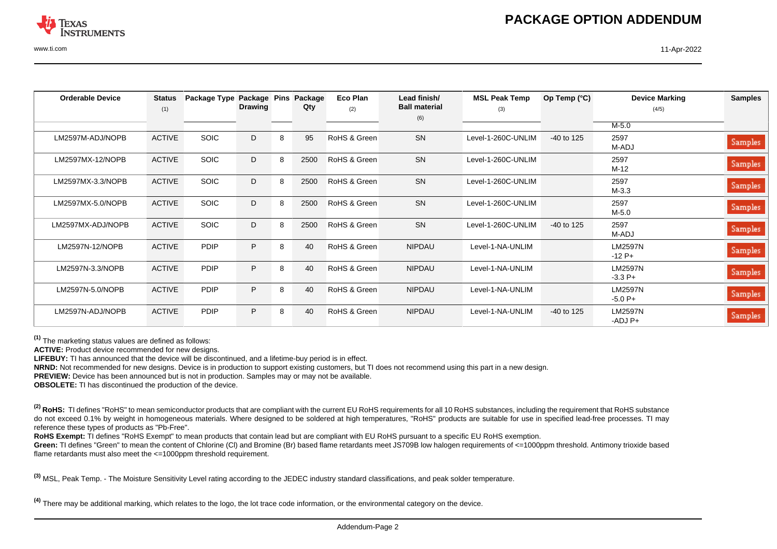

| <b>Orderable Device</b> | <b>Status</b><br>(1) | Package Type | Package Pins<br><b>Drawing</b> |   | Package<br>Qty | <b>Eco Plan</b><br>(2) | Lead finish/<br><b>Ball material</b> | <b>MSL Peak Temp</b><br>(3) | Op Temp $(^{\circ}C)$ | <b>Device Marking</b><br>(4/5) | <b>Samples</b> |
|-------------------------|----------------------|--------------|--------------------------------|---|----------------|------------------------|--------------------------------------|-----------------------------|-----------------------|--------------------------------|----------------|
|                         |                      |              |                                |   |                |                        | (6)                                  |                             |                       |                                |                |
|                         |                      |              |                                |   |                |                        |                                      |                             |                       | $M-5.0$                        |                |
| LM2597M-ADJ/NOPB        | <b>ACTIVE</b>        | <b>SOIC</b>  | D                              | 8 | 95             | RoHS & Green           | <b>SN</b>                            | Level-1-260C-UNLIM          | $-40$ to 125          | 2597<br>M-ADJ                  | Samples        |
| LM2597MX-12/NOPB        | <b>ACTIVE</b>        | <b>SOIC</b>  | D                              | 8 | 2500           | RoHS & Green           | <b>SN</b>                            | Level-1-260C-UNLIM          |                       | 2597<br>M-12                   | <b>Samples</b> |
| LM2597MX-3.3/NOPB       | <b>ACTIVE</b>        | <b>SOIC</b>  | D                              | 8 | 2500           | RoHS & Green           | <b>SN</b>                            | Level-1-260C-UNLIM          |                       | 2597<br>$M-3.3$                | <b>Samples</b> |
| LM2597MX-5.0/NOPB       | <b>ACTIVE</b>        | <b>SOIC</b>  | D                              | 8 | 2500           | RoHS & Green           | <b>SN</b>                            | Level-1-260C-UNLIM          |                       | 2597<br>$M-5.0$                | <b>Samples</b> |
| LM2597MX-ADJ/NOPB       | <b>ACTIVE</b>        | <b>SOIC</b>  | D                              | 8 | 2500           | RoHS & Green           | <b>SN</b>                            | Level-1-260C-UNLIM          | -40 to 125            | 2597<br>M-ADJ                  | <b>Samples</b> |
| LM2597N-12/NOPB         | <b>ACTIVE</b>        | PDIP         | P                              | 8 | 40             | RoHS & Green           | <b>NIPDAU</b>                        | Level-1-NA-UNLIM            |                       | <b>LM2597N</b><br>$-12P+$      | <b>Samples</b> |
| LM2597N-3.3/NOPB        | <b>ACTIVE</b>        | PDIP         | P                              | 8 | 40             | RoHS & Green           | <b>NIPDAU</b>                        | Level-1-NA-UNLIM            |                       | <b>LM2597N</b><br>$-3.3P+$     | <b>Samples</b> |
| LM2597N-5.0/NOPB        | <b>ACTIVE</b>        | PDIP         | P                              | 8 | 40             | RoHS & Green           | <b>NIPDAU</b>                        | Level-1-NA-UNLIM            |                       | <b>LM2597N</b><br>$-5.0P+$     | <b>Samples</b> |
| LM2597N-ADJ/NOPB        | <b>ACTIVE</b>        | <b>PDIP</b>  | P.                             | 8 | 40             | RoHS & Green           | <b>NIPDAU</b>                        | Level-1-NA-UNLIM            | $-40$ to 125          | <b>LM2597N</b><br>$-ADJ$ $P+$  | <b>Samples</b> |

**(1)** The marketing status values are defined as follows:

**ACTIVE:** Product device recommended for new designs.

**LIFEBUY:** TI has announced that the device will be discontinued, and a lifetime-buy period is in effect.

**NRND:** Not recommended for new designs. Device is in production to support existing customers, but TI does not recommend using this part in a new design.

**PREVIEW:** Device has been announced but is not in production. Samples may or may not be available.

**OBSOLETE:** TI has discontinued the production of the device.

<sup>(2)</sup> RoHS: TI defines "RoHS" to mean semiconductor products that are compliant with the current EU RoHS requirements for all 10 RoHS substances, including the requirement that RoHS substance do not exceed 0.1% by weight in homogeneous materials. Where designed to be soldered at high temperatures, "RoHS" products are suitable for use in specified lead-free processes. TI may reference these types of products as "Pb-Free".

RoHS Exempt: TI defines "RoHS Exempt" to mean products that contain lead but are compliant with EU RoHS pursuant to a specific EU RoHS exemption.

Green: TI defines "Green" to mean the content of Chlorine (CI) and Bromine (Br) based flame retardants meet JS709B low halogen requirements of <=1000ppm threshold. Antimony trioxide based flame retardants must also meet the <=1000ppm threshold requirement.

**(3)** MSL, Peak Temp. - The Moisture Sensitivity Level rating according to the JEDEC industry standard classifications, and peak solder temperature.

**(4)** There may be additional marking, which relates to the logo, the lot trace code information, or the environmental category on the device.